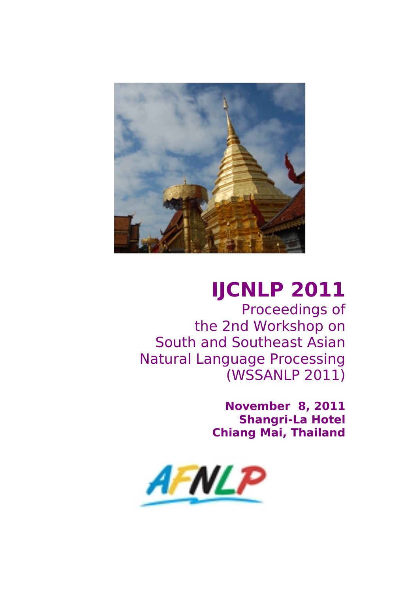<span id="page-0-0"></span>

# **IJCNLP 2011**

Proceedings of the 2nd Workshop on South and Southeast Asian Natural Language Processing (WSSANLP 2011)

> **November 8, 2011 Shangri-La Hotel Chiang Mai, Thailand**

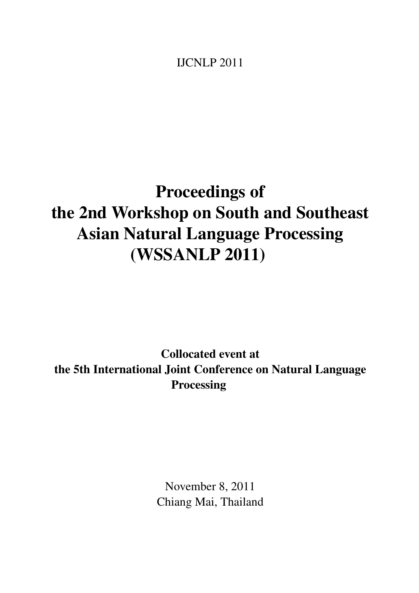IJCNLP 2011

## Proceedings of the 2nd Workshop on South and Southeast Asian Natural Language Processing (WSSANLP 2011)

Collocated event at the 5th International Joint Conference on Natural Language Processing

> November 8, 2011 Chiang Mai, Thailand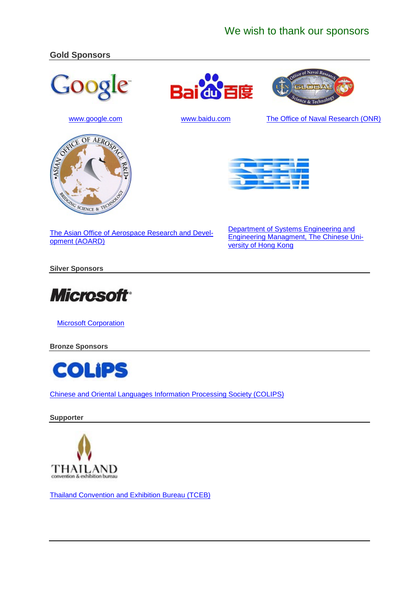## We wish to thank our sponsors

### **Gold Sponsors**









www.baidu.com



The Office of Naval Research (ONR)



The Asian Office of Aerospace Research and Development (AOARD)

Department of Systems Engineering and **Engineering Managment, The Chinese Uni**versity of Hong Kong

**Silver Sponsors** 



**Microsoft Corporation** 

**Bronze Sponsors** 



**Chinese and Oriental Languages Information Processing Society (COLIPS)** 

Supporter



**Thailand Convention and Exhibition Bureau (TCEB)**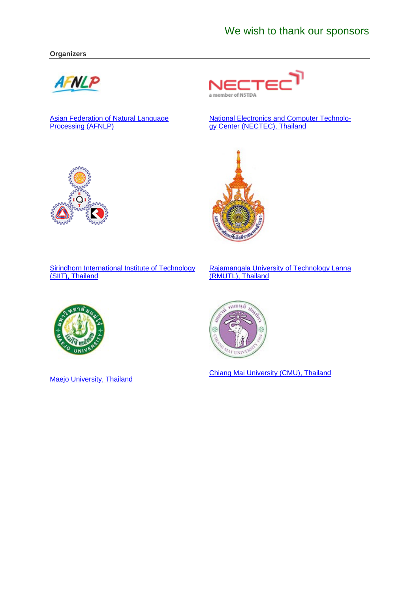#### **Organizers**



Asian Federation of Natural Language<br>Processing (AFNLP)



National Electronics and Computer Technology Center (NECTEC), Thailand



Sirindhorn International Institute of Technology (SIIT), Thailand

Rajamangala University of Technology Lanna (RMUTL), Thailand



**Maejo University, Thailand** 



Chiang Mai University (CMU), Thailand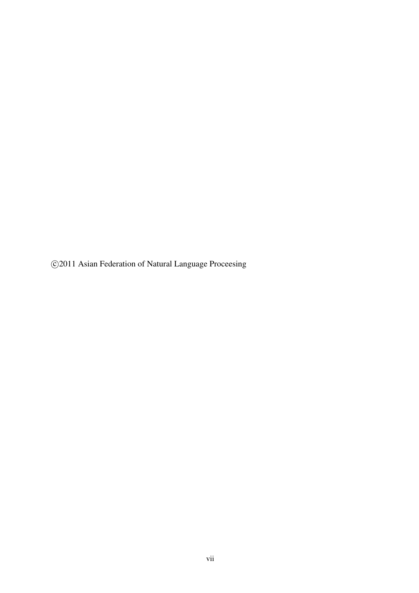©2011 Asian Federation of Natural Language Proceesing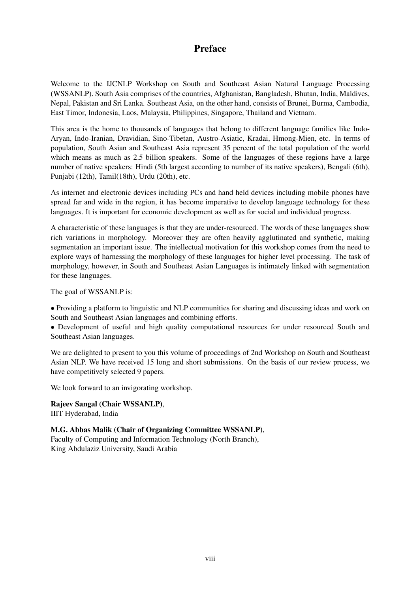## Preface

Welcome to the IJCNLP Workshop on South and Southeast Asian Natural Language Processing (WSSANLP). South Asia comprises of the countries, Afghanistan, Bangladesh, Bhutan, India, Maldives, Nepal, Pakistan and Sri Lanka. Southeast Asia, on the other hand, consists of Brunei, Burma, Cambodia, East Timor, Indonesia, Laos, Malaysia, Philippines, Singapore, Thailand and Vietnam.

This area is the home to thousands of languages that belong to different language families like Indo-Aryan, Indo-Iranian, Dravidian, Sino-Tibetan, Austro-Asiatic, Kradai, Hmong-Mien, etc. In terms of population, South Asian and Southeast Asia represent 35 percent of the total population of the world which means as much as 2.5 billion speakers. Some of the languages of these regions have a large number of native speakers: Hindi (5th largest according to number of its native speakers), Bengali (6th), Punjabi (12th), Tamil(18th), Urdu (20th), etc.

As internet and electronic devices including PCs and hand held devices including mobile phones have spread far and wide in the region, it has become imperative to develop language technology for these languages. It is important for economic development as well as for social and individual progress.

A characteristic of these languages is that they are under-resourced. The words of these languages show rich variations in morphology. Moreover they are often heavily agglutinated and synthetic, making segmentation an important issue. The intellectual motivation for this workshop comes from the need to explore ways of harnessing the morphology of these languages for higher level processing. The task of morphology, however, in South and Southeast Asian Languages is intimately linked with segmentation for these languages.

The goal of WSSANLP is:

• Providing a platform to linguistic and NLP communities for sharing and discussing ideas and work on South and Southeast Asian languages and combining efforts.

• Development of useful and high quality computational resources for under resourced South and Southeast Asian languages.

We are delighted to present to you this volume of proceedings of 2nd Workshop on South and Southeast Asian NLP. We have received 15 long and short submissions. On the basis of our review process, we have competitively selected 9 papers.

We look forward to an invigorating workshop.

Rajeev Sangal (Chair WSSANLP), IIIT Hyderabad, India

M.G. Abbas Malik (Chair of Organizing Committee WSSANLP), Faculty of Computing and Information Technology (North Branch), King Abdulaziz University, Saudi Arabia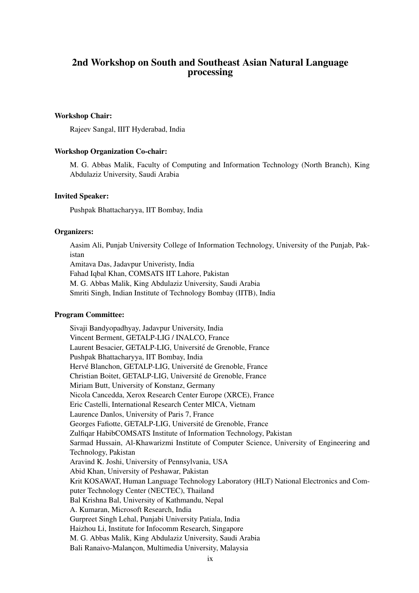## 2nd Workshop on South and Southeast Asian Natural Language processing

#### Workshop Chair:

Rajeev Sangal, IIIT Hyderabad, India

#### Workshop Organization Co-chair:

M. G. Abbas Malik, Faculty of Computing and Information Technology (North Branch), King Abdulaziz University, Saudi Arabia

#### Invited Speaker:

Pushpak Bhattacharyya, IIT Bombay, India

#### Organizers:

Aasim Ali, Punjab University College of Information Technology, University of the Punjab, Pakistan Amitava Das, Jadavpur Univeristy, India Fahad Iqbal Khan, COMSATS IIT Lahore, Pakistan M. G. Abbas Malik, King Abdulaziz University, Saudi Arabia Smriti Singh, Indian Institute of Technology Bombay (IITB), India

#### Program Committee:

Sivaji Bandyopadhyay, Jadavpur University, India Vincent Berment, GETALP-LIG / INALCO, France Laurent Besacier, GETALP-LIG, Université de Grenoble, France Pushpak Bhattacharyya, IIT Bombay, India Hervé Blanchon, GETALP-LIG, Université de Grenoble, France Christian Boitet, GETALP-LIG, Universite de Grenoble, France ´ Miriam Butt, University of Konstanz, Germany Nicola Cancedda, Xerox Research Center Europe (XRCE), France Eric Castelli, International Research Center MICA, Vietnam Laurence Danlos, University of Paris 7, France Georges Fafiotte, GETALP-LIG, Université de Grenoble, France Zulfiqar HabibCOMSATS Institute of Information Technology, Pakistan Sarmad Hussain, Al-Khawarizmi Institute of Computer Science, University of Engineering and Technology, Pakistan Aravind K. Joshi, University of Pennsylvania, USA Abid Khan, University of Peshawar, Pakistan Krit KOSAWAT, Human Language Technology Laboratory (HLT) National Electronics and Computer Technology Center (NECTEC), Thailand Bal Krishna Bal, University of Kathmandu, Nepal A. Kumaran, Microsoft Research, India Gurpreet Singh Lehal, Punjabi University Patiala, India Haizhou Li, Institute for Infocomm Research, Singapore M. G. Abbas Malik, King Abdulaziz University, Saudi Arabia Bali Ranaivo-Malançon, Multimedia University, Malaysia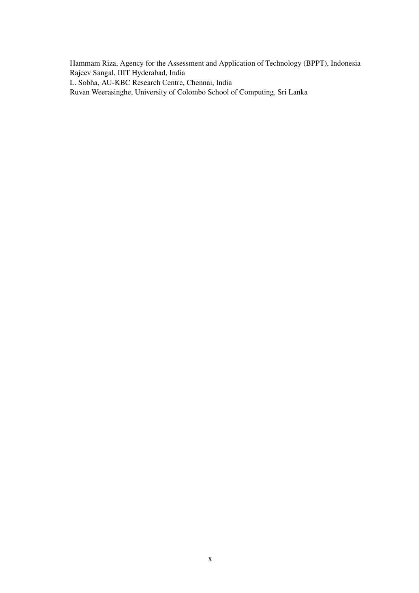Hammam Riza, Agency for the Assessment and Application of Technology (BPPT), Indonesia Rajeev Sangal, IIIT Hyderabad, India L. Sobha, AU-KBC Research Centre, Chennai, India

Ruvan Weerasinghe, University of Colombo School of Computing, Sri Lanka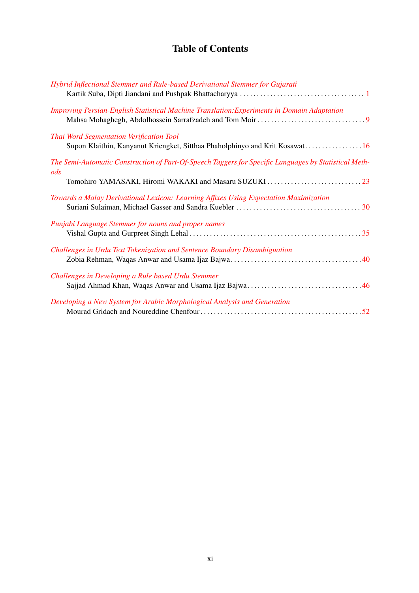## Table of Contents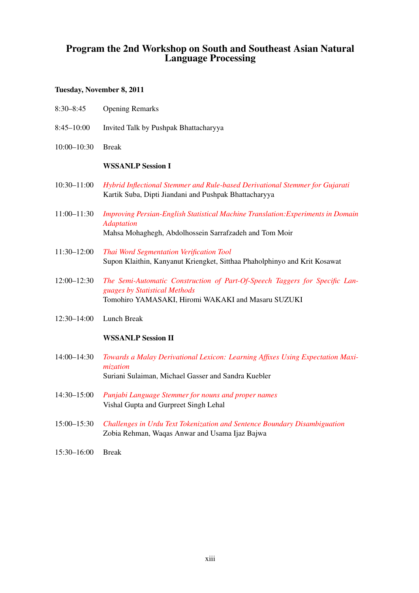## Program the 2nd Workshop on South and Southeast Asian Natural Language Processing

## Tuesday, November 8, 2011

| $8:30 - 8:45$   | <b>Opening Remarks</b>                                                                                                                                             |
|-----------------|--------------------------------------------------------------------------------------------------------------------------------------------------------------------|
| $8:45 - 10:00$  | Invited Talk by Pushpak Bhattacharyya                                                                                                                              |
| $10:00 - 10:30$ | <b>Break</b>                                                                                                                                                       |
|                 | <b>WSSANLP Session I</b>                                                                                                                                           |
| $10:30 - 11:00$ | Hybrid Inflectional Stemmer and Rule-based Derivational Stemmer for Gujarati<br>Kartik Suba, Dipti Jiandani and Pushpak Bhattacharyya                              |
| $11:00 - 11:30$ | Improving Persian-English Statistical Machine Translation: Experiments in Domain<br><b>Adaptation</b><br>Mahsa Mohaghegh, Abdolhossein Sarrafzadeh and Tom Moir    |
| 11:30-12:00     | Thai Word Segmentation Verification Tool<br>Supon Klaithin, Kanyanut Kriengket, Sitthaa Phaholphinyo and Krit Kosawat                                              |
| $12:00 - 12:30$ | The Semi-Automatic Construction of Part-Of-Speech Taggers for Specific Lan-<br>guages by Statistical Methods<br>Tomohiro YAMASAKI, Hiromi WAKAKI and Masaru SUZUKI |
| $12:30 - 14:00$ | Lunch Break                                                                                                                                                        |
|                 | <b>WSSANLP Session II</b>                                                                                                                                          |
| $14:00 - 14:30$ | Towards a Malay Derivational Lexicon: Learning Affixes Using Expectation Maxi-<br>mization<br>Suriani Sulaiman, Michael Gasser and Sandra Kuebler                  |
| $14:30 - 15:00$ | Punjabi Language Stemmer for nouns and proper names<br>Vishal Gupta and Gurpreet Singh Lehal                                                                       |
| $15:00 - 15:30$ | Challenges in Urdu Text Tokenization and Sentence Boundary Disambiguation<br>Zobia Rehman, Waqas Anwar and Usama Ijaz Bajwa                                        |
| $15:30 - 16:00$ | <b>Break</b>                                                                                                                                                       |